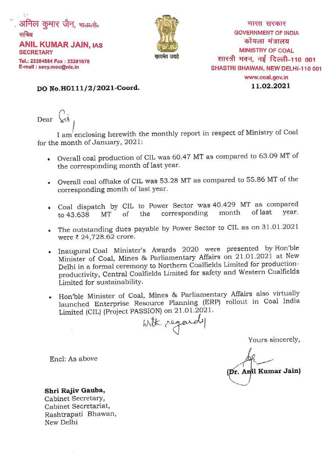



भारत सरकार **GOVERNMENT OF INDIA** कोयला मंत्रालय **MINISTRY OF COAL** शास्त्री भवन, नई दिल्ली–110 001 SHASTRI BHAWAN, NEW DELHI-110 001 www.coal.gov.in 11.02.2021

## DO No.H0111/2/2021-Coord.

Dear  $\sqrt{3}$ 

I am enclosing herewith the monthly report in respect of Ministry of Coal for the month of January, 2021:

- Overall coal production of CIL was 60.47 MT as compared to 63.09 MT of the corresponding month of last year.
- Overall coal offtake of CIL was 53.28 MT as compared to 55.86 MT of the ×. corresponding month of last year.
- Coal dispatch by CIL to Power Sector was 40.429 MT as compared  $\bullet$ of last year. month corresponding MT of the to 43.638
- The outstanding dues payable by Power Sector to CIL as on 31.01.2021 were ₹ 24,728.62 crore.
- Inaugural Coal Minister's Awards 2020 were presented by Hon'ble Minister of Coal, Mines & Parliamentary Affairs on 21.01.2021 at New Delhi in a formal ceremony to Northern Coalfields Limited for productionproductivity, Central Coalfields Limited for safety and Western Coalfields Limited for sustainability.
- Hon'ble Minister of Coal, Mines & Parliamentary Affairs also virtually  $\bullet$ launched Enterprise Resource Planning (ERP) rollout in Coal India Limited (CIL) (Project PASSION) on 21.01.2021.

with regards

Yours sincerely,

(Dr. Anil Kumar Jain)

Encl: As above

Shri Rajiv Gauba, Cabinet Secretary, Cabinet Secretariat, Rashtrapati Bhawan,

New Delhi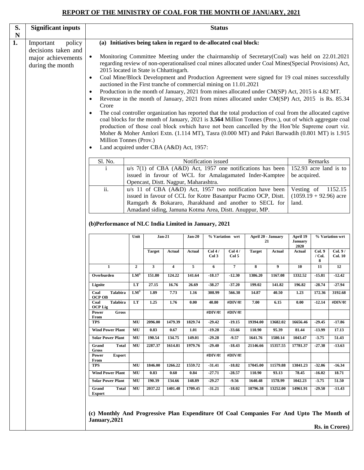# **REPORT OF THE MINISTRY OF COAL FOR THE MONTH OF JANUARY, 2021**

| S.<br>N                                                                                                                                                                                                                                                                                                                                                                                                                | <b>Significant inputs</b>                                                                                                                                                                                                     |                                                                                                                                                          |                                                                                                                                                                                                                                                                                                                                                                                                                                                                                                                                                                                                                                                                                                                                                                                                                                                                                                                                                                                                                                                                                                                                     |               |                         |                     | <b>Status</b>       |                     |                   |                          |                                    |                        |                           |
|------------------------------------------------------------------------------------------------------------------------------------------------------------------------------------------------------------------------------------------------------------------------------------------------------------------------------------------------------------------------------------------------------------------------|-------------------------------------------------------------------------------------------------------------------------------------------------------------------------------------------------------------------------------|----------------------------------------------------------------------------------------------------------------------------------------------------------|-------------------------------------------------------------------------------------------------------------------------------------------------------------------------------------------------------------------------------------------------------------------------------------------------------------------------------------------------------------------------------------------------------------------------------------------------------------------------------------------------------------------------------------------------------------------------------------------------------------------------------------------------------------------------------------------------------------------------------------------------------------------------------------------------------------------------------------------------------------------------------------------------------------------------------------------------------------------------------------------------------------------------------------------------------------------------------------------------------------------------------------|---------------|-------------------------|---------------------|---------------------|---------------------|-------------------|--------------------------|------------------------------------|------------------------|---------------------------|
| 1.                                                                                                                                                                                                                                                                                                                                                                                                                     | policy<br>Important<br>decisions taken and<br>major achievements<br>during the month                                                                                                                                          | (a) Initiatives being taken in regard to de-allocated coal block:<br>$\bullet$<br>$\bullet$<br>$\bullet$<br>$\bullet$<br>Crore<br>$\bullet$<br>$\bullet$ | Monitoring Committee Meeting under the chairmanship of Secretary(Coal) was held on 22.01.2021<br>regarding review of non-operationalised coal mines allocated under Coal Mines(Special Provisions) Act,<br>2015 located in State is Chhattisgarh.<br>Coal Mine/Block Development and Production Agreement were signed for 19 coal mines successfully<br>auctioned in the First tranche of commercial mining on 11.01.2021<br>Production in the month of January, 2021 from mines allocated under CM(SP) Act, 2015 is 4.82 MT.<br>Revenue in the month of January, 2021 from mines allocated under CM(SP) Act, 2015 is Rs. 85.34<br>The coal controller organization has reported that the total production of coal from the allocated captive<br>coal blocks for the month of January, 2021 is 3.564 Million Tonnes (Prov.), out of which aggregate coal<br>production of those coal block swhich have not been cancelled by the Hon'ble Supreme court viz.<br>Moher & Moher Amlori Extn. (1.114 MT), Tasra (0.000 MT) and Pakri Barwadih (0.801 MT) is 1.915<br>Million Tonnes (Prov.)<br>Land acquired under CBA (A&D) Act, 1957: |               |                         |                     |                     |                     |                   |                          |                                    |                        |                           |
|                                                                                                                                                                                                                                                                                                                                                                                                                        | Sl. No.<br>Notification issued<br>Remarks<br>152.93 acre land is to<br>$u/s$ 7(1) of CBA (A&D) Act, 1957 one notifications has been<br>$\mathbf{i}$<br>issued in favour of WCL for Amalagamated Inder-Kamptee<br>be acquired. |                                                                                                                                                          |                                                                                                                                                                                                                                                                                                                                                                                                                                                                                                                                                                                                                                                                                                                                                                                                                                                                                                                                                                                                                                                                                                                                     |               |                         |                     |                     |                     |                   |                          |                                    |                        |                           |
| Opencast, Distt. Nagpur, Maharashtra.<br>$\overline{ii}$ .<br>u/s 11 of CBA (A&D) Act, 1957 two notification have been<br>Vesting of<br>$(1059.19 + 92.96)$ acre<br>issued in favour of CCL for Kotre Basantpur Pacmo OCP, Distt.<br>Ramgarh & Bokararo, Jharakhand and another to SECL for<br>land.<br>Amadand siding, Jamuna Kotma Area, Distt. Anuppur, MP.<br>(b)Performance of NLC India Limited in January, 2021 |                                                                                                                                                                                                                               |                                                                                                                                                          |                                                                                                                                                                                                                                                                                                                                                                                                                                                                                                                                                                                                                                                                                                                                                                                                                                                                                                                                                                                                                                                                                                                                     |               |                         |                     | 1152.15             |                     |                   |                          |                                    |                        |                           |
|                                                                                                                                                                                                                                                                                                                                                                                                                        |                                                                                                                                                                                                                               |                                                                                                                                                          | Unit                                                                                                                                                                                                                                                                                                                                                                                                                                                                                                                                                                                                                                                                                                                                                                                                                                                                                                                                                                                                                                                                                                                                |               | $Jan-21$                | $Jan-20$            |                     | % Variation wrt     |                   | April 20 - January<br>21 | April 19<br><b>January</b><br>2020 |                        | % Variation wrt           |
|                                                                                                                                                                                                                                                                                                                                                                                                                        |                                                                                                                                                                                                                               |                                                                                                                                                          |                                                                                                                                                                                                                                                                                                                                                                                                                                                                                                                                                                                                                                                                                                                                                                                                                                                                                                                                                                                                                                                                                                                                     | <b>Target</b> | <b>Actual</b>           | <b>Actual</b>       | Col4/<br>Col3       | Col 4/<br>Col 5     | <b>Target</b>     | <b>Actual</b>            | <b>Actual</b>                      | Col.9<br>$/$ Col.<br>8 | Col. 9/<br><b>Col. 10</b> |
|                                                                                                                                                                                                                                                                                                                                                                                                                        |                                                                                                                                                                                                                               | $\mathbf{1}$                                                                                                                                             | $\overline{2}$                                                                                                                                                                                                                                                                                                                                                                                                                                                                                                                                                                                                                                                                                                                                                                                                                                                                                                                                                                                                                                                                                                                      | $\mathbf{3}$  | $\overline{\mathbf{4}}$ | 5                   | 6                   | $\overline{7}$      | 8                 | 9                        | 10                                 | 11                     | 12                        |
|                                                                                                                                                                                                                                                                                                                                                                                                                        |                                                                                                                                                                                                                               | Overburden                                                                                                                                               | $LM^3$                                                                                                                                                                                                                                                                                                                                                                                                                                                                                                                                                                                                                                                                                                                                                                                                                                                                                                                                                                                                                                                                                                                              | 151.80        | 124.22                  | 141.64              | $-18.17$            | $-12.30$            | 1386.20           | 1167.08                  | 1332.52                            | $-15.81$               | $-12.42$                  |
|                                                                                                                                                                                                                                                                                                                                                                                                                        |                                                                                                                                                                                                                               | Lignite                                                                                                                                                  | LT                                                                                                                                                                                                                                                                                                                                                                                                                                                                                                                                                                                                                                                                                                                                                                                                                                                                                                                                                                                                                                                                                                                                  | 27.15         | 16.76                   | 26.69               | $-38.27$            | $-37.20$            | 199.02            | 141.82                   | 196.82                             | $-28.74$               | $-27.94$                  |
|                                                                                                                                                                                                                                                                                                                                                                                                                        |                                                                                                                                                                                                                               | Coal<br><b>Talabira</b><br><b>OCP OB</b>                                                                                                                 | $LM^3$                                                                                                                                                                                                                                                                                                                                                                                                                                                                                                                                                                                                                                                                                                                                                                                                                                                                                                                                                                                                                                                                                                                              | 1.89          | 7.73                    | 1.16                | 308.99              | 566.38              | 14.87             | 40.50                    | 1.23                               | 172.36                 | 3192.68                   |
|                                                                                                                                                                                                                                                                                                                                                                                                                        |                                                                                                                                                                                                                               | <b>Talabira</b><br>Coal<br><b>OCP Lig</b><br>Power<br><b>Gross</b>                                                                                       | LT                                                                                                                                                                                                                                                                                                                                                                                                                                                                                                                                                                                                                                                                                                                                                                                                                                                                                                                                                                                                                                                                                                                                  | 1.25          | 1.76                    | 0.00                | 40.80<br>#DIV/0!    | #DIV/0!<br>#DIV/0!  | 7.00              | 6.15                     | 0.00                               | $-12.14$               | #DIV/0!                   |
|                                                                                                                                                                                                                                                                                                                                                                                                                        |                                                                                                                                                                                                                               | From<br><b>TPS</b>                                                                                                                                       | MU                                                                                                                                                                                                                                                                                                                                                                                                                                                                                                                                                                                                                                                                                                                                                                                                                                                                                                                                                                                                                                                                                                                                  | 2096.00       | 1479.39                 | 1829.74             | $-29.42$            | $-19.15$            | 19394.00          | 13682.02                 | 16656.46                           | $-29.45$               | $-17.86$                  |
|                                                                                                                                                                                                                                                                                                                                                                                                                        |                                                                                                                                                                                                                               | <b>Wind Power Plant</b>                                                                                                                                  | MU                                                                                                                                                                                                                                                                                                                                                                                                                                                                                                                                                                                                                                                                                                                                                                                                                                                                                                                                                                                                                                                                                                                                  | 0.83          | 0.67                    | 1.01                | $-19.28$            | $-33.66$            | 110.90            | 95.39                    | 81.44                              | $-13.99$               | 17.13                     |
|                                                                                                                                                                                                                                                                                                                                                                                                                        |                                                                                                                                                                                                                               | <b>Solar Power Plant</b>                                                                                                                                 | MU                                                                                                                                                                                                                                                                                                                                                                                                                                                                                                                                                                                                                                                                                                                                                                                                                                                                                                                                                                                                                                                                                                                                  | 190.54        | 134.75                  | 149.01              | $-29.28$            | $-9.57$             | 1641.76           | 1580.14                  | 1043.47                            | $-3.75$                | 51.43                     |
|                                                                                                                                                                                                                                                                                                                                                                                                                        |                                                                                                                                                                                                                               | Grand<br><b>Total</b><br>Gross                                                                                                                           | MU                                                                                                                                                                                                                                                                                                                                                                                                                                                                                                                                                                                                                                                                                                                                                                                                                                                                                                                                                                                                                                                                                                                                  | 2287.37       | 1614.81                 | 1979.76             | $-29.40$            | $-18.43$            | 21146.66          | 15357.55                 | 17781.37                           | $-27.38$               | $-13.63$                  |
|                                                                                                                                                                                                                                                                                                                                                                                                                        |                                                                                                                                                                                                                               | Power<br><b>Export</b>                                                                                                                                   |                                                                                                                                                                                                                                                                                                                                                                                                                                                                                                                                                                                                                                                                                                                                                                                                                                                                                                                                                                                                                                                                                                                                     |               |                         |                     | #DIV/0!             | #DIV/0!             |                   |                          |                                    |                        |                           |
|                                                                                                                                                                                                                                                                                                                                                                                                                        |                                                                                                                                                                                                                               | From<br><b>TPS</b><br>MU<br>1846.00<br>1266.22<br>1559.72<br>$-31.41$<br>$-18.82$<br>17045.00                                                            |                                                                                                                                                                                                                                                                                                                                                                                                                                                                                                                                                                                                                                                                                                                                                                                                                                                                                                                                                                                                                                                                                                                                     |               |                         |                     |                     | 11579.88            | 13841.23          | $-32.06$                 | $-16.34$                           |                        |                           |
|                                                                                                                                                                                                                                                                                                                                                                                                                        |                                                                                                                                                                                                                               | <b>Wind Power Plant</b><br>0.83<br>$-27.71$<br>$-28.57$<br>110.90<br>93.13<br>MU<br>0.60<br>0.84                                                         |                                                                                                                                                                                                                                                                                                                                                                                                                                                                                                                                                                                                                                                                                                                                                                                                                                                                                                                                                                                                                                                                                                                                     |               |                         |                     |                     |                     | 78.45             | $-16.02$                 | 18.71                              |                        |                           |
| 190.39<br>134.66<br><b>Solar Power Plant</b><br>MU<br>148.89<br>$-29.27$<br>$-9.56$<br>1640.48<br>MU<br>2037.22<br>1401.48<br>1709.45<br>$-31.21$<br>$-18.02$<br>18796.38<br>Grand<br><b>Total</b>                                                                                                                                                                                                                     |                                                                                                                                                                                                                               |                                                                                                                                                          |                                                                                                                                                                                                                                                                                                                                                                                                                                                                                                                                                                                                                                                                                                                                                                                                                                                                                                                                                                                                                                                                                                                                     |               |                         | 1578.99<br>13252.00 | 1042.23<br>14961.91 | $-3.75$<br>$-29.50$ | 51.50<br>$-11.43$ |                          |                                    |                        |                           |
|                                                                                                                                                                                                                                                                                                                                                                                                                        |                                                                                                                                                                                                                               | <b>Export</b><br>(c) Monthly And Progressive Plan Expenditure Of Coal Companies For And Upto The Month of<br>January, 2021                               |                                                                                                                                                                                                                                                                                                                                                                                                                                                                                                                                                                                                                                                                                                                                                                                                                                                                                                                                                                                                                                                                                                                                     |               |                         |                     |                     |                     |                   |                          |                                    |                        | <b>Rs. in Crores)</b>     |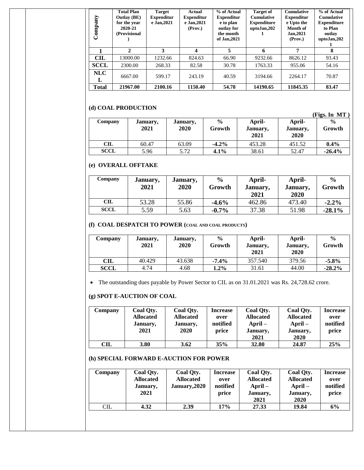| Company      | <b>Total Plan</b><br><b>Outlay</b> (BE)<br>for the year<br>2020-21<br>(Provisional | <b>Target</b><br><b>Expenditur</b><br>e Jan, 2021 | Actual<br><b>Expenditur</b><br>e Jan, 2021<br>(Prov.) | % of Actual<br><b>Expenditur</b><br>e to plan<br>outlay for<br>the month<br>of Jan, 2021 | <b>Target of</b><br><b>Cumulative</b><br><b>Expenditure</b><br>uptoJan,202 | <b>Cumulative</b><br><b>Expenditur</b><br>e Upto the<br>Month of<br>Jan, 2021<br>(Prov.) | % of Actual<br><b>Cumulative</b><br><b>Expenditure</b><br>to Plan<br>outlay<br>uptoJan, 202 |
|--------------|------------------------------------------------------------------------------------|---------------------------------------------------|-------------------------------------------------------|------------------------------------------------------------------------------------------|----------------------------------------------------------------------------|------------------------------------------------------------------------------------------|---------------------------------------------------------------------------------------------|
|              | 2                                                                                  | 3                                                 |                                                       | 5                                                                                        | 6                                                                          | 7                                                                                        | 8                                                                                           |
| CIL          | 13000.00                                                                           | 1232.66                                           | 824.63                                                | 66.90                                                                                    | 9232.66                                                                    | 8626.12                                                                                  | 93.43                                                                                       |
| <b>SCCL</b>  | 2300.00                                                                            | 268.33                                            | 82.58                                                 | 30.78                                                                                    | 1763.33                                                                    | 955.06                                                                                   | 54.16                                                                                       |
| NLC<br>L     | 6667.00                                                                            | 599.17                                            | 243.19                                                | 40.59                                                                                    | 3194.66                                                                    | 2264.17                                                                                  | 70.87                                                                                       |
| <b>Total</b> | 21967.00                                                                           | 2100.16                                           | 1150.40                                               | 54.78                                                                                    | 14190.65                                                                   | 11845.35                                                                                 | 83.47                                                                                       |

## **(d) COAL PRODUCTION**

|             |          |          |               |          |          | (Figs. In MT) |
|-------------|----------|----------|---------------|----------|----------|---------------|
| Company     | January, | January, | $\frac{0}{0}$ | April-   | April-   | $\frac{0}{0}$ |
|             | 2021     | 2020     | Growth        | January, | January, | Growth        |
|             |          |          |               | 2021     | 2020     |               |
| <b>CIL</b>  | 60.47    | 63.09    | $-4.2\%$      | 453.28   | 451.52   | $0.4\%$       |
| <b>SCCL</b> | 5.96     | 5.72     | 4.1%          | 38.61    | 52.47    | $-26.4%$      |

### **(e) OVERALL OFFTAKE**

| Company     | January,<br>2021 | January,<br>2020 | $\frac{6}{9}$<br>Growth | April-<br>January,<br>2021 | April-<br>January,<br>2020 | $\frac{6}{9}$<br>Growth |
|-------------|------------------|------------------|-------------------------|----------------------------|----------------------------|-------------------------|
| <b>CIL</b>  | 53.28            | 55.86            | $-4.6%$                 | 462.86                     | 473.40                     | $-2.2\%$                |
| <b>SCCL</b> | 5.59             | 5.63             | $-0.7\%$                | 37.38                      | 51.98                      | $-28.1%$                |

#### **(f) COAL DESPATCH TO POWER (COAL AND COAL PRODUCTS)**

| Company     | January,<br>2021 | January,<br>2020 | $\frac{0}{0}$<br>Growth | April-<br>January,<br>2021 | April-<br>January,<br>2020 | $\frac{0}{0}$<br>Growth |
|-------------|------------------|------------------|-------------------------|----------------------------|----------------------------|-------------------------|
| CIL         | 40.429           | 43.638           | $-7.4%$                 | 357.540                    | 379.56                     | $-5.8%$                 |
| <b>SCCL</b> | 4.74             | 4.68             | $1.2\%$                 | 31.61                      | 44.00                      | $-28.2\%$               |

The outstanding dues payable by Power Sector to CIL as on 31.01.2021 was Rs. 24,728.62 crore.

## **(g) SPOT E-AUCTION OF COAL**

| Company    | Coal Qty.        | Coal Qty.        | <b>Increase</b> | Coal Oty.        | Coal Oty.        | <b>Increase</b> |
|------------|------------------|------------------|-----------------|------------------|------------------|-----------------|
|            | <b>Allocated</b> | <b>Allocated</b> | over            | <b>Allocated</b> | <b>Allocated</b> | over            |
|            | January,         | January,         | notified        | $April-$         | $April-$         | notified        |
|            | 2021             | 2020             | price           | January,         | January,         | price           |
|            |                  |                  |                 | 2021             | 2020             |                 |
| <b>CIL</b> | <b>3.80</b>      | 3.62             | 35%             | 32.80            | 24.87            | 25%             |

### **(h) SPECIAL FORWARD E-AUCTION FOR POWER**

| Company    | Coal Qty.<br><b>Allocated</b><br>January,<br>2021 | Coal Qty.<br><b>Allocated</b><br>January, 2020 | <b>Increase</b><br>over<br>notified<br>price | Coal Qty.<br><b>Allocated</b><br>$April-$<br>January,<br>2021 | Coal Qty.<br><b>Allocated</b><br>$April-$<br>January,<br>2020 | <b>Increase</b><br>over<br>notified<br>price |
|------------|---------------------------------------------------|------------------------------------------------|----------------------------------------------|---------------------------------------------------------------|---------------------------------------------------------------|----------------------------------------------|
| <b>CIL</b> | 4.32                                              | 2.39                                           | 17%                                          | 27.33                                                         | 19.84                                                         | 6%                                           |
|            |                                                   |                                                |                                              |                                                               |                                                               |                                              |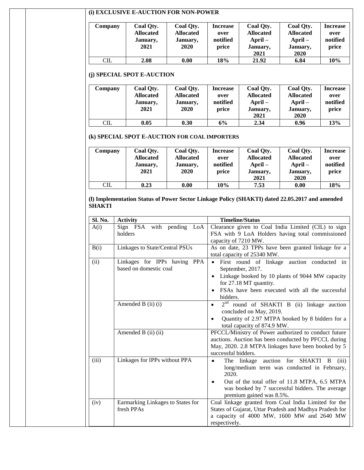## **(i) EXCLUSIVE E-AUCTION FOR NON-POWER**

| <b>Company</b> | Coal Qty.<br><b>Allocated</b><br>January,<br>2021 | Coal Qty.<br><b>Allocated</b><br>January,<br>2020 | <b>Increase</b><br>over<br>notified<br>price | Coal Qty.<br><b>Allocated</b><br>$April-$<br>January,<br>2021 | Coal Qty.<br><b>Allocated</b><br>$April-$<br>January,<br>2020 | <b>Increase</b><br>over<br>notified<br>price |
|----------------|---------------------------------------------------|---------------------------------------------------|----------------------------------------------|---------------------------------------------------------------|---------------------------------------------------------------|----------------------------------------------|
| $\rm CIL$      | 2.08                                              | 0.00                                              | 18%                                          | 21.92                                                         | 6.84                                                          | 10%                                          |

#### **(j) SPECIAL SPOT E-AUCTION**

| Company | Coal Qty.        | Coal Qty.        | <b>Increase</b> | Coal Qty.        | Coal Qty.        | <b>Increase</b> |
|---------|------------------|------------------|-----------------|------------------|------------------|-----------------|
|         | <b>Allocated</b> | <b>Allocated</b> | over            | <b>Allocated</b> | <b>Allocated</b> | over            |
|         | January,         | January,         | notified        | $April-$         | $April-$         | notified        |
|         | 2021             | 2020             | price           | January,         | January,         | price           |
|         |                  |                  |                 | 2021             | 2020             |                 |
| CL      | 0.05             | 0.30             | 6%              | 2.34             | 0.96             | 13%             |

#### **(k) SPECIAL SPOT E-AUCTION FOR COAL IMPORTERS**

| Company    | Coal Qty.<br><b>Allocated</b><br>January,<br>2021 | Coal Qty.<br><b>Allocated</b><br>January,<br>2020 | Increase<br>over<br>notified<br>price | Coal Qty.<br><b>Allocated</b><br>$April-$<br>January,<br>2021 | Coal Qty.<br><b>Allocated</b><br>$April-$<br>January,<br>2020 | <b>Increase</b><br>over<br>notified<br>price |
|------------|---------------------------------------------------|---------------------------------------------------|---------------------------------------|---------------------------------------------------------------|---------------------------------------------------------------|----------------------------------------------|
| <b>CIL</b> | 0.23                                              | 0.00                                              | 10%                                   | 7.53                                                          | 0.00                                                          | 18%                                          |

#### **(l) Implementation Status of Power Sector Linkage Policy (SHAKTI) dated 22.05.2017 and amended SHAKTI**

| Sl. No. | <b>Activity</b>                      | <b>Timeline/Status</b>                                                                                  |  |  |  |  |
|---------|--------------------------------------|---------------------------------------------------------------------------------------------------------|--|--|--|--|
| A(i)    | Sign FSA with pending LoA<br>holders | Clearance given to Coal India Limited (CIL) to sign<br>FSA with 9 LoA Holders having total commissioned |  |  |  |  |
|         |                                      | capacity of 7210 MW.                                                                                    |  |  |  |  |
| B(i)    | Linkages to State/Central PSUs       | As on date, 23 TPPs have been granted linkage for a                                                     |  |  |  |  |
|         |                                      | total capacity of 25340 MW.                                                                             |  |  |  |  |
| (ii)    | Linkages for IPPs having PPA         | First round of linkage auction conducted in<br>$\bullet$                                                |  |  |  |  |
|         | based on domestic coal               | September, 2017.                                                                                        |  |  |  |  |
|         |                                      | Linkage booked by 10 plants of 9044 MW capacity<br>$\bullet$                                            |  |  |  |  |
|         |                                      | for 27.18 MT quantity.                                                                                  |  |  |  |  |
|         |                                      | FSAs have been executed with all the successful                                                         |  |  |  |  |
|         |                                      | bidders.                                                                                                |  |  |  |  |
|         | Amended B (ii) (i)                   | $2nd$ round of SHAKTI B (ii) linkage auction<br>$\bullet$                                               |  |  |  |  |
|         |                                      | concluded on May, 2019.                                                                                 |  |  |  |  |
|         |                                      | Quantity of 2.97 MTPA booked by 8 bidders for a<br>$\bullet$                                            |  |  |  |  |
|         |                                      | total capacity of 874.9 MW.                                                                             |  |  |  |  |
|         | Amended B (ii) (ii)                  | PFCCL/Ministry of Power authorized to conduct future                                                    |  |  |  |  |
|         |                                      | auctions. Auction has been conducted by PFCCL during                                                    |  |  |  |  |
|         |                                      | May, 2020. 2.8 MTPA linkages have been booked by 5                                                      |  |  |  |  |
|         |                                      | successful bidders.                                                                                     |  |  |  |  |
| (iii)   | Linkages for IPPs without PPA        | The linkage auction for SHAKTI<br>- B<br>(iii)<br>٠                                                     |  |  |  |  |
|         |                                      | long/medium term was conducted in February,                                                             |  |  |  |  |
|         |                                      | 2020.                                                                                                   |  |  |  |  |
|         |                                      | Out of the total offer of 11.8 MTPA, 6.5 MTPA                                                           |  |  |  |  |
|         |                                      | was booked by 7 successful bidders. The average                                                         |  |  |  |  |
|         |                                      | premium gained was 8.5%.                                                                                |  |  |  |  |
| (iv)    | Earmarking Linkages to States for    | Coal linkage granted from Coal India Limited for the                                                    |  |  |  |  |
|         | fresh PPAs                           | States of Gujarat, Uttar Pradesh and Madhya Pradesh for                                                 |  |  |  |  |
|         |                                      | a capacity of 4000 MW, 1600 MW and 2640 MW                                                              |  |  |  |  |
|         |                                      | respectively.                                                                                           |  |  |  |  |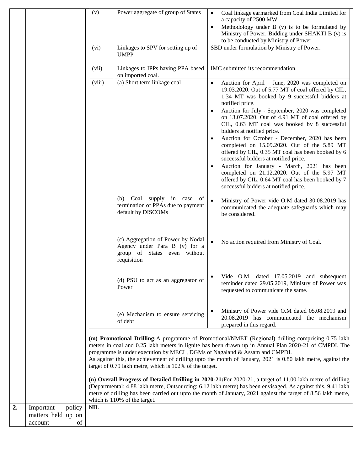|                  |                     | (v)                                                                                                                                                                                                                                                                                                                                                                                                                                                                 | Power aggregate of group of States                                                                                | Coal linkage earmarked from Coal India Limited for<br>$\bullet$<br>a capacity of 2500 MW.                                                                                                                                                                                                                                                                                                                                                                                                                                                                                                                                                                                                                                                                                          |  |  |  |
|------------------|---------------------|---------------------------------------------------------------------------------------------------------------------------------------------------------------------------------------------------------------------------------------------------------------------------------------------------------------------------------------------------------------------------------------------------------------------------------------------------------------------|-------------------------------------------------------------------------------------------------------------------|------------------------------------------------------------------------------------------------------------------------------------------------------------------------------------------------------------------------------------------------------------------------------------------------------------------------------------------------------------------------------------------------------------------------------------------------------------------------------------------------------------------------------------------------------------------------------------------------------------------------------------------------------------------------------------------------------------------------------------------------------------------------------------|--|--|--|
|                  |                     |                                                                                                                                                                                                                                                                                                                                                                                                                                                                     |                                                                                                                   | Methodology under B (v) is to be formulated by<br>$\bullet$<br>Ministry of Power. Bidding under SHAKTI B (v) is                                                                                                                                                                                                                                                                                                                                                                                                                                                                                                                                                                                                                                                                    |  |  |  |
|                  |                     |                                                                                                                                                                                                                                                                                                                                                                                                                                                                     |                                                                                                                   | to be conducted by Ministry of Power.                                                                                                                                                                                                                                                                                                                                                                                                                                                                                                                                                                                                                                                                                                                                              |  |  |  |
|                  |                     | (vi)                                                                                                                                                                                                                                                                                                                                                                                                                                                                | Linkages to SPV for setting up of<br><b>UMPP</b>                                                                  | SBD under formulation by Ministry of Power.                                                                                                                                                                                                                                                                                                                                                                                                                                                                                                                                                                                                                                                                                                                                        |  |  |  |
|                  |                     | (vii)                                                                                                                                                                                                                                                                                                                                                                                                                                                               | Linkages to IPPs having PPA based<br>on imported coal.                                                            | IMC submitted its recommendation.                                                                                                                                                                                                                                                                                                                                                                                                                                                                                                                                                                                                                                                                                                                                                  |  |  |  |
|                  |                     | (viii)                                                                                                                                                                                                                                                                                                                                                                                                                                                              | (a) Short term linkage coal                                                                                       | Auction for April - June, 2020 was completed on<br>$\bullet$<br>19.03.2020. Out of 5.77 MT of coal offered by CIL,<br>1.34 MT was booked by 9 successful bidders at<br>notified price.<br>Auction for July - September, 2020 was completed<br>on 13.07.2020. Out of 4.91 MT of coal offered by<br>CIL, 0.63 MT coal was booked by 8 successful<br>bidders at notified price.<br>Auction for October - December, 2020 has been<br>completed on 15.09.2020. Out of the 5.89 MT<br>offered by CIL, 0.35 MT coal has been booked by 6<br>successful bidders at notified price.<br>Auction for January - March, 2021 has been<br>$\bullet$<br>completed on 21.12.2020. Out of the 5.97 MT<br>offered by CIL, 0.64 MT coal has been booked by 7<br>successful bidders at notified price. |  |  |  |
|                  |                     |                                                                                                                                                                                                                                                                                                                                                                                                                                                                     | (b) Coal supply in case<br>of<br>termination of PPAs due to payment<br>default by DISCOMs                         | $\bullet$<br>Ministry of Power vide O.M dated 30.08.2019 has<br>communicated the adequate safeguards which may<br>be considered.                                                                                                                                                                                                                                                                                                                                                                                                                                                                                                                                                                                                                                                   |  |  |  |
|                  |                     |                                                                                                                                                                                                                                                                                                                                                                                                                                                                     | (c) Aggregation of Power by Nodal<br>Agency under Para B (v) for a<br>group of States even without<br>requisition | No action required from Ministry of Coal.                                                                                                                                                                                                                                                                                                                                                                                                                                                                                                                                                                                                                                                                                                                                          |  |  |  |
|                  |                     |                                                                                                                                                                                                                                                                                                                                                                                                                                                                     | (d) PSU to act as an aggregator of<br>Power                                                                       | Vide O.M. dated 17.05.2019 and subsequent<br>reminder dated 29.05.2019, Ministry of Power was<br>requested to communicate the same.                                                                                                                                                                                                                                                                                                                                                                                                                                                                                                                                                                                                                                                |  |  |  |
|                  |                     |                                                                                                                                                                                                                                                                                                                                                                                                                                                                     | (e) Mechanism to ensure servicing<br>of debt                                                                      | Ministry of Power vide O.M dated 05.08.2019 and<br>20.08.2019 has communicated the mechanism<br>prepared in this regard.                                                                                                                                                                                                                                                                                                                                                                                                                                                                                                                                                                                                                                                           |  |  |  |
|                  |                     | (m) Promotional Drilling: A programme of Promotional/NMET (Regional) drilling comprising 0.75 lakh<br>meters in coal and 0.25 lakh meters in lignite has been drawn up in Annual Plan 2020-21 of CMPDI. The<br>programme is under execution by MECL, DGMs of Nagaland & Assam and CMPDI.<br>As against this, the achievement of drilling upto the month of January, 2021 is 0.80 lakh metre, against the<br>target of 0.79 lakh metre, which is 102% of the target. |                                                                                                                   |                                                                                                                                                                                                                                                                                                                                                                                                                                                                                                                                                                                                                                                                                                                                                                                    |  |  |  |
|                  |                     | (n) Overall Progress of Detailed Drilling in 2020-21: For 2020-21, a target of 11.00 lakh metre of drilling<br>(Departmental: 4.88 lakh metre, Outsourcing: 6.12 lakh metre) has been envisaged. As against this, 9.41 lakh<br>metre of drilling has been carried out upto the month of January, 2021 against the target of 8.56 lakh metre,<br>which is 110% of the target.                                                                                        |                                                                                                                   |                                                                                                                                                                                                                                                                                                                                                                                                                                                                                                                                                                                                                                                                                                                                                                                    |  |  |  |
| $\overline{2}$ . | policy<br>Important | <b>NIL</b>                                                                                                                                                                                                                                                                                                                                                                                                                                                          |                                                                                                                   |                                                                                                                                                                                                                                                                                                                                                                                                                                                                                                                                                                                                                                                                                                                                                                                    |  |  |  |
|                  | matters held up on  |                                                                                                                                                                                                                                                                                                                                                                                                                                                                     |                                                                                                                   |                                                                                                                                                                                                                                                                                                                                                                                                                                                                                                                                                                                                                                                                                                                                                                                    |  |  |  |
|                  | of<br>account       |                                                                                                                                                                                                                                                                                                                                                                                                                                                                     |                                                                                                                   |                                                                                                                                                                                                                                                                                                                                                                                                                                                                                                                                                                                                                                                                                                                                                                                    |  |  |  |
|                  |                     |                                                                                                                                                                                                                                                                                                                                                                                                                                                                     |                                                                                                                   |                                                                                                                                                                                                                                                                                                                                                                                                                                                                                                                                                                                                                                                                                                                                                                                    |  |  |  |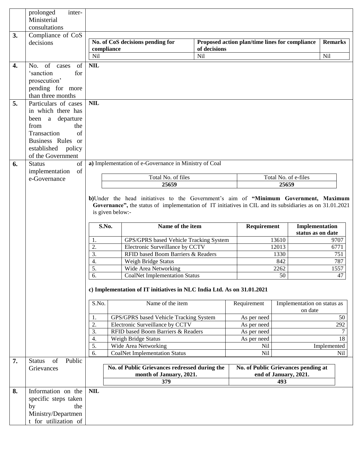|    | inter-<br>prolonged<br>Ministerial<br>consultations                       |                          |                                                                                                                                                                                                  |                                                |                       |                                        |
|----|---------------------------------------------------------------------------|--------------------------|--------------------------------------------------------------------------------------------------------------------------------------------------------------------------------------------------|------------------------------------------------|-----------------------|----------------------------------------|
| 3. | Compliance of CoS                                                         |                          |                                                                                                                                                                                                  |                                                |                       |                                        |
|    | decisions                                                                 |                          | No. of CoS decisions pending for                                                                                                                                                                 | Proposed action plan/time lines for compliance |                       | <b>Remarks</b>                         |
|    |                                                                           | compliance<br><b>Nil</b> | of decisions<br>Nil                                                                                                                                                                              |                                                |                       | Nil                                    |
| 4. | No. of cases<br>of                                                        | <b>NIL</b>               |                                                                                                                                                                                                  |                                                |                       |                                        |
|    | 'sanction<br>for<br>prosecution'<br>pending for more<br>than three months |                          |                                                                                                                                                                                                  |                                                |                       |                                        |
| 5. | Particulars of cases                                                      | <b>NIL</b>               |                                                                                                                                                                                                  |                                                |                       |                                        |
|    | in which there has                                                        |                          |                                                                                                                                                                                                  |                                                |                       |                                        |
|    | been a departure                                                          |                          |                                                                                                                                                                                                  |                                                |                       |                                        |
|    | from<br>the                                                               |                          |                                                                                                                                                                                                  |                                                |                       |                                        |
|    | Transaction<br>of                                                         |                          |                                                                                                                                                                                                  |                                                |                       |                                        |
|    | Business Rules or<br>established policy                                   |                          |                                                                                                                                                                                                  |                                                |                       |                                        |
|    | of the Government                                                         |                          |                                                                                                                                                                                                  |                                                |                       |                                        |
| 6. | <b>Status</b><br>of                                                       |                          | a) Implementation of e-Governance in Ministry of Coal                                                                                                                                            |                                                |                       |                                        |
|    | implementation<br>of                                                      |                          |                                                                                                                                                                                                  |                                                |                       |                                        |
|    | e-Governance                                                              |                          | Total No. of files                                                                                                                                                                               |                                                | Total No. of e-files  |                                        |
|    |                                                                           |                          | 25659                                                                                                                                                                                            |                                                | 25659                 |                                        |
|    |                                                                           | is given below:-         | b)Under the head initiatives to the Government's aim of "Minimum Government, Maximum<br>Governance", the status of implementation of IT initiatives in CIL and its subsidiaries as on 31.01.2021 |                                                |                       |                                        |
|    |                                                                           | S.No.                    | Name of the item                                                                                                                                                                                 | Requirement                                    |                       | Implementation<br>status as on date    |
|    |                                                                           | 1.                       | GPS/GPRS based Vehicle Tracking System                                                                                                                                                           |                                                | 13610                 | 9707                                   |
|    |                                                                           | 2.<br>3.                 | Electronic Surveillance by CCTV                                                                                                                                                                  |                                                | 12013<br>1330         |                                        |
|    |                                                                           | $\overline{4}$ .         | RFID based Boom Barriers & Readers                                                                                                                                                               |                                                |                       | 6771                                   |
|    |                                                                           |                          |                                                                                                                                                                                                  |                                                |                       | 751                                    |
|    |                                                                           |                          | Weigh Bridge Status                                                                                                                                                                              |                                                | 842                   | 787                                    |
|    |                                                                           | 5.                       | Wide Area Networking<br><b>CoalNet Implementation Status</b>                                                                                                                                     |                                                | 2262<br>50            | 1557<br>$\overline{47}$                |
|    |                                                                           | $\overline{6}$ .         | c) Implementation of IT initiatives in NLC India Ltd. As on 31.01.2021                                                                                                                           |                                                |                       |                                        |
|    |                                                                           | S.No.                    | Name of the item                                                                                                                                                                                 | Requirement                                    |                       | Implementation on status as<br>on date |
|    |                                                                           | 1.                       | GPS/GPRS based Vehicle Tracking System                                                                                                                                                           | As per need                                    |                       | 50                                     |
|    |                                                                           | 2.                       | Electronic Surveillance by CCTV                                                                                                                                                                  | As per need                                    |                       | 292                                    |
|    |                                                                           | 3.                       | RFID based Boom Barriers & Readers                                                                                                                                                               | As per need                                    |                       | $\tau$                                 |
|    |                                                                           | 4.                       | Weigh Bridge Status                                                                                                                                                                              | As per need                                    |                       | 18                                     |
|    |                                                                           | 5.<br>6.                 | Wide Area Networking<br><b>CoalNet Implementation Status</b>                                                                                                                                     | Nil<br>Nil                                     |                       | Implemented<br>Nil                     |
| 7. | of<br>Public<br><b>Status</b>                                             |                          |                                                                                                                                                                                                  |                                                |                       |                                        |
|    | Grievances                                                                |                          | No. of Public Grievances redressed during the                                                                                                                                                    | No. of Public Grievances pending at            |                       |                                        |
|    |                                                                           |                          | month of January, 2021.                                                                                                                                                                          |                                                | end of January, 2021. |                                        |
|    |                                                                           |                          | 379                                                                                                                                                                                              |                                                | 493                   |                                        |
| 8. | Information on the                                                        | <b>NIL</b>               |                                                                                                                                                                                                  |                                                |                       |                                        |
|    | specific steps taken                                                      |                          |                                                                                                                                                                                                  |                                                |                       |                                        |
|    | by<br>the<br>Ministry/Departmen                                           |                          |                                                                                                                                                                                                  |                                                |                       |                                        |